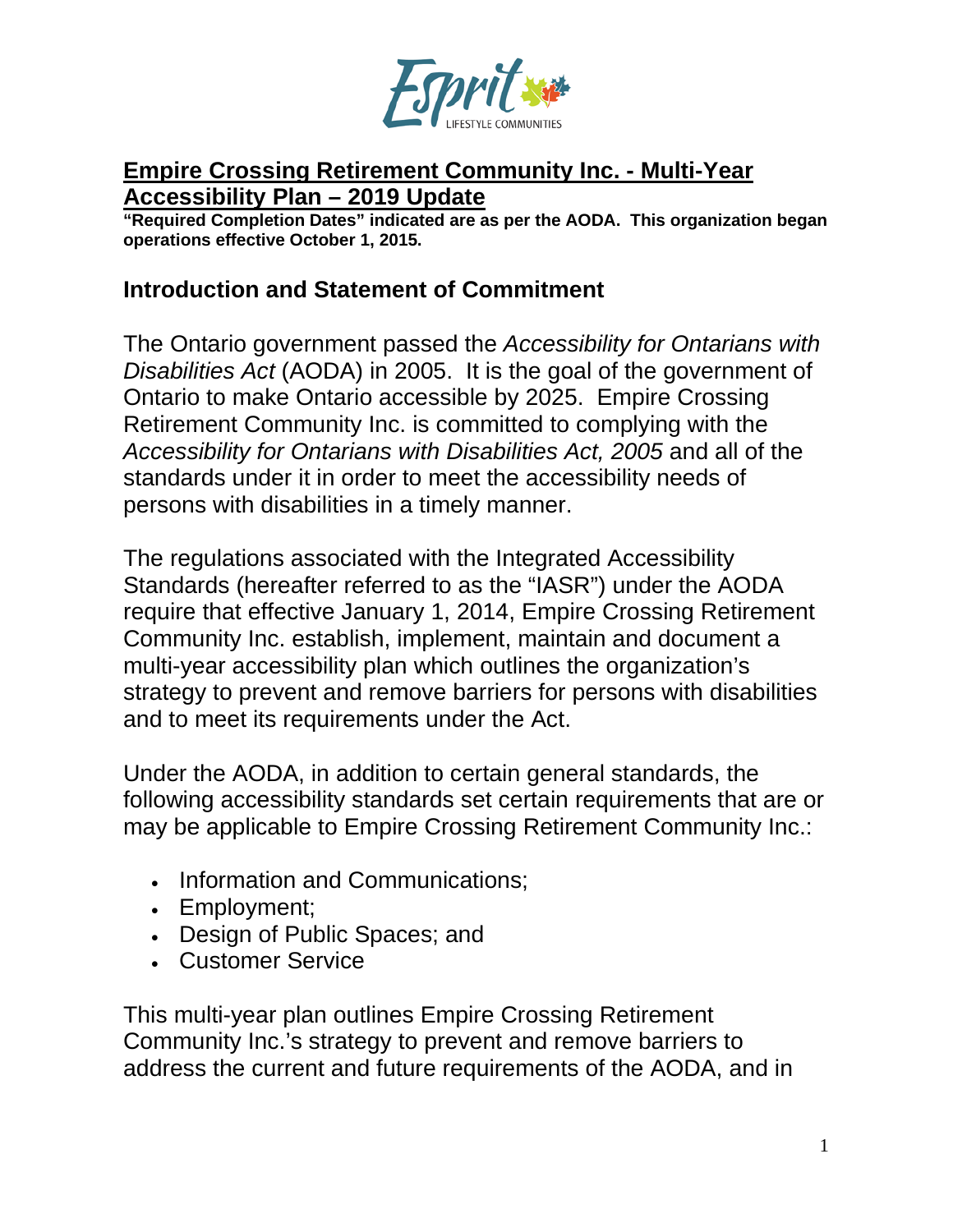

#### **Empire Crossing Retirement Community Inc. - Multi-Year Accessibility Plan – 2019 Update**

**"Required Completion Dates" indicated are as per the AODA. This organization began operations effective October 1, 2015.**

#### **Introduction and Statement of Commitment**

The Ontario government passed the *Accessibility for Ontarians with Disabilities Act* (AODA) in 2005. It is the goal of the government of Ontario to make Ontario accessible by 2025. Empire Crossing Retirement Community Inc. is committed to complying with the *Accessibility for Ontarians with Disabilities Act, 2005* and all of the standards under it in order to meet the accessibility needs of persons with disabilities in a timely manner.

The regulations associated with the Integrated Accessibility Standards (hereafter referred to as the "IASR") under the AODA require that effective January 1, 2014, Empire Crossing Retirement Community Inc. establish, implement, maintain and document a multi-year accessibility plan which outlines the organization's strategy to prevent and remove barriers for persons with disabilities and to meet its requirements under the Act.

Under the AODA, in addition to certain general standards, the following accessibility standards set certain requirements that are or may be applicable to Empire Crossing Retirement Community Inc.:

- Information and Communications;
- Employment;
- Design of Public Spaces; and
- Customer Service

This multi-year plan outlines Empire Crossing Retirement Community Inc.'s strategy to prevent and remove barriers to address the current and future requirements of the AODA, and in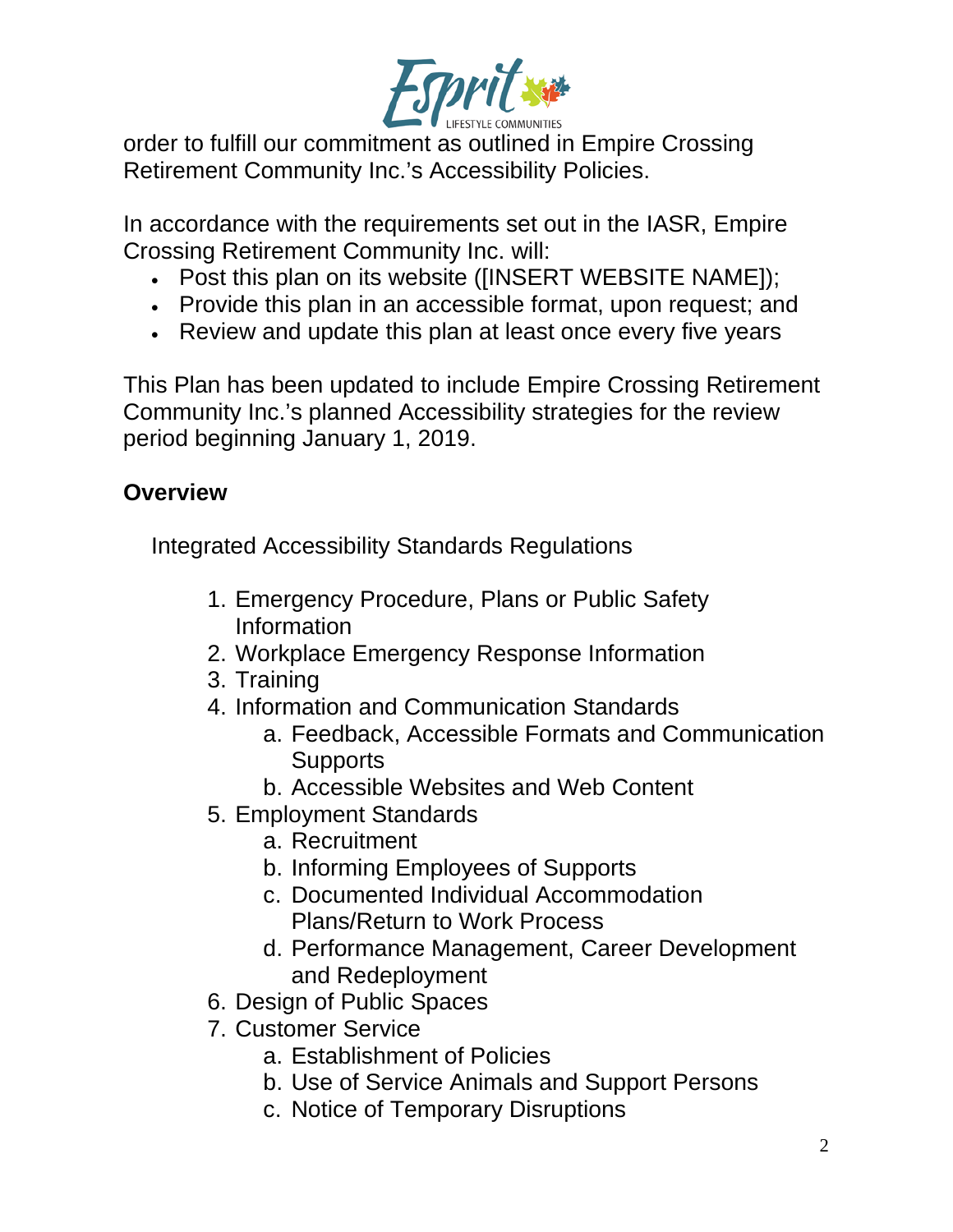

order to fulfill our commitment as outlined in Empire Crossing Retirement Community Inc.'s Accessibility Policies.

In accordance with the requirements set out in the IASR, Empire Crossing Retirement Community Inc. will:

- Post this plan on its website ([INSERT WEBSITE NAME]);
- Provide this plan in an accessible format, upon request; and
- Review and update this plan at least once every five years

This Plan has been updated to include Empire Crossing Retirement Community Inc.'s planned Accessibility strategies for the review period beginning January 1, 2019.

# **Overview**

Integrated Accessibility Standards Regulations

- 1. Emergency Procedure, Plans or Public Safety Information
- 2. Workplace Emergency Response Information
- 3. Training
- 4. Information and Communication Standards
	- a. Feedback, Accessible Formats and Communication **Supports**
	- b. Accessible Websites and Web Content
- 5. Employment Standards
	- a. Recruitment
	- b. Informing Employees of Supports
	- c. Documented Individual Accommodation Plans/Return to Work Process
	- d. Performance Management, Career Development and Redeployment
- 6. Design of Public Spaces
- 7. Customer Service
	- a. Establishment of Policies
	- b. Use of Service Animals and Support Persons
	- c. Notice of Temporary Disruptions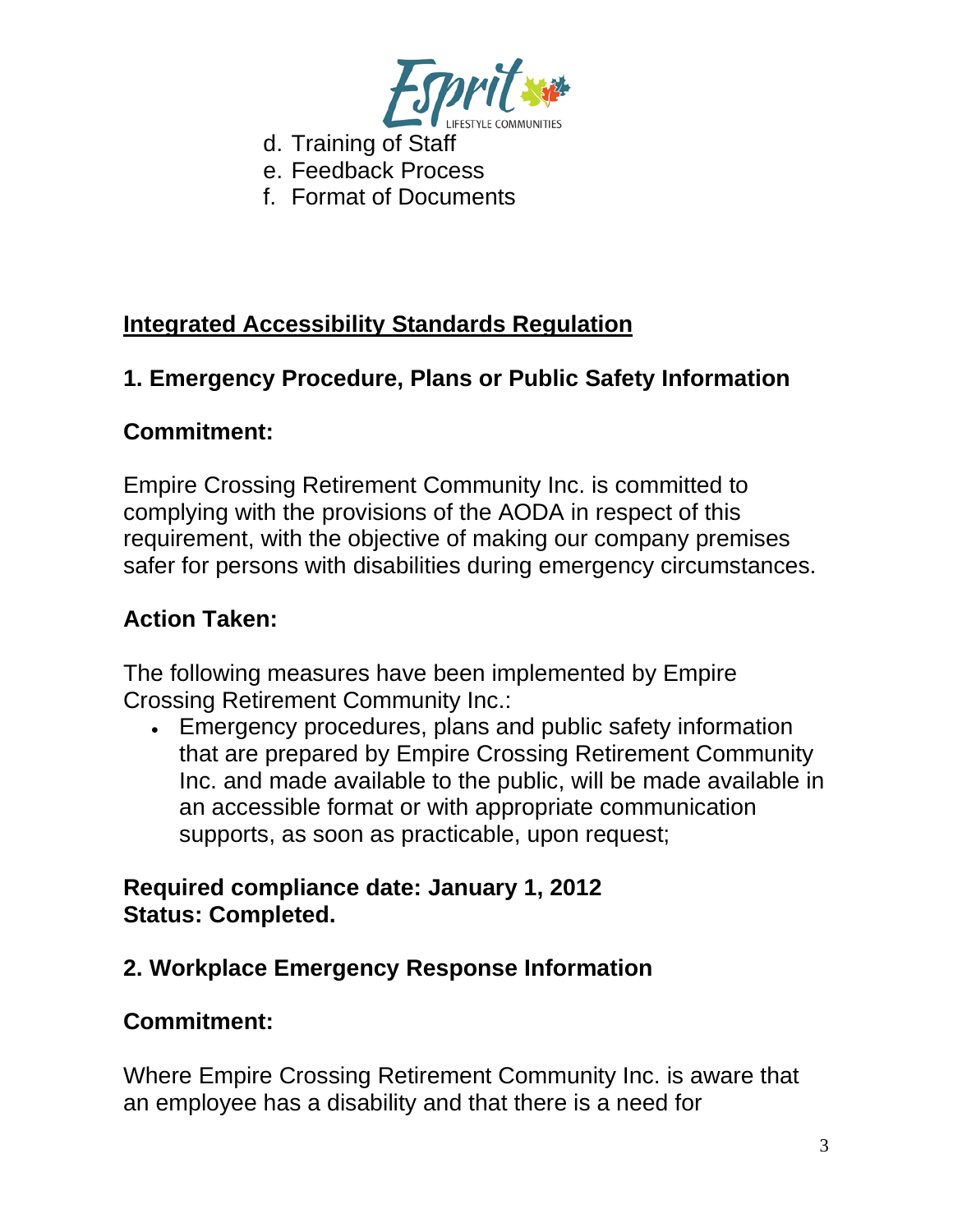

- d. Training of Staff
- e. Feedback Process
- f. Format of Documents

## **Integrated Accessibility Standards Regulation**

### **1. Emergency Procedure, Plans or Public Safety Information**

#### **Commitment:**

Empire Crossing Retirement Community Inc. is committed to complying with the provisions of the AODA in respect of this requirement, with the objective of making our company premises safer for persons with disabilities during emergency circumstances.

### **Action Taken:**

The following measures have been implemented by Empire Crossing Retirement Community Inc.:

• Emergency procedures, plans and public safety information that are prepared by Empire Crossing Retirement Community Inc. and made available to the public, will be made available in an accessible format or with appropriate communication supports, as soon as practicable, upon request;

#### **Required compliance date: January 1, 2012 Status: Completed.**

## **2. Workplace Emergency Response Information**

#### **Commitment:**

Where Empire Crossing Retirement Community Inc. is aware that an employee has a disability and that there is a need for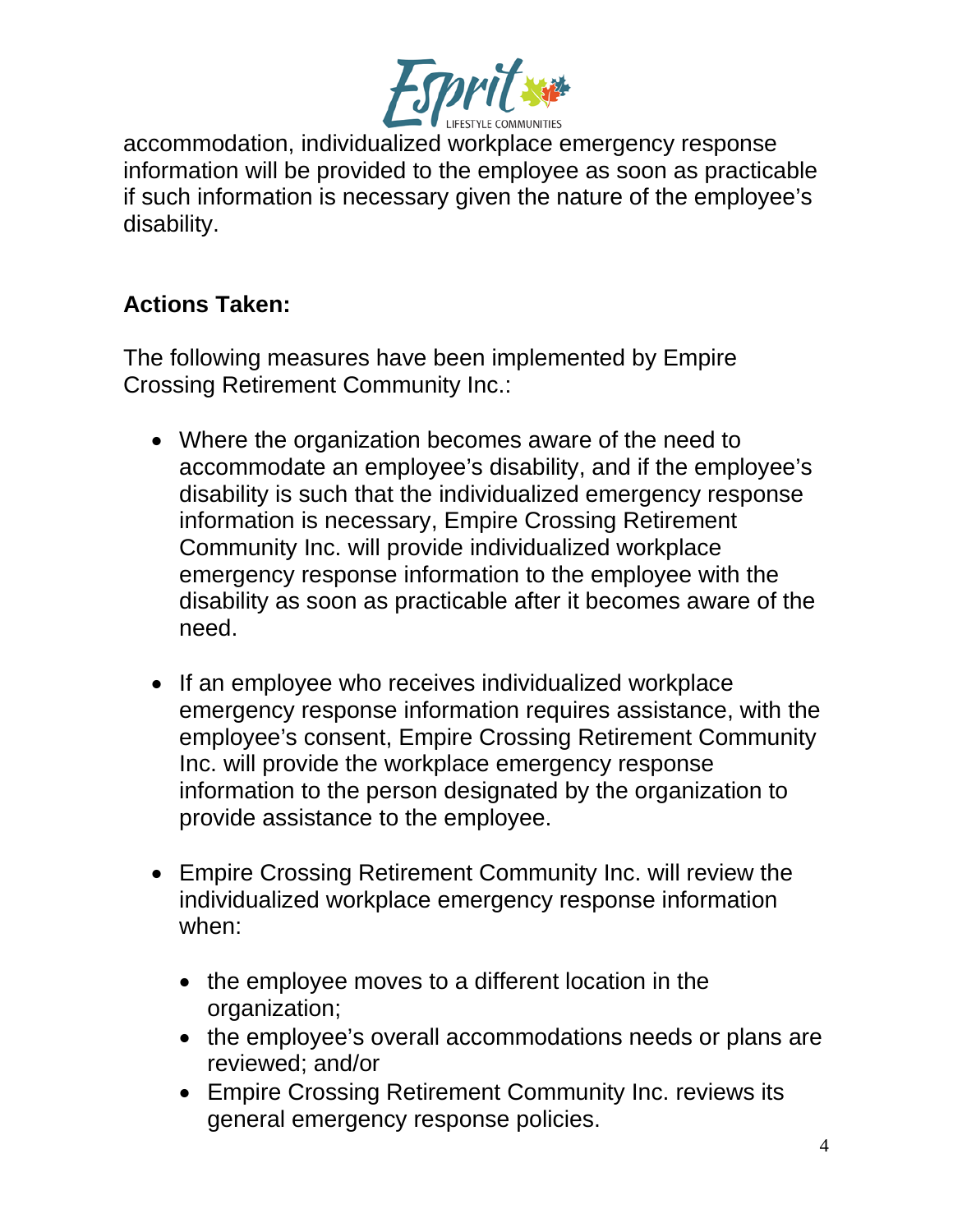

accommodation, individualized workplace emergency response information will be provided to the employee as soon as practicable if such information is necessary given the nature of the employee's disability.

## **Actions Taken:**

The following measures have been implemented by Empire Crossing Retirement Community Inc.:

- Where the organization becomes aware of the need to accommodate an employee's disability, and if the employee's disability is such that the individualized emergency response information is necessary, Empire Crossing Retirement Community Inc. will provide individualized workplace emergency response information to the employee with the disability as soon as practicable after it becomes aware of the need.
- If an employee who receives individualized workplace emergency response information requires assistance, with the employee's consent, Empire Crossing Retirement Community Inc. will provide the workplace emergency response information to the person designated by the organization to provide assistance to the employee.
- Empire Crossing Retirement Community Inc. will review the individualized workplace emergency response information when:
	- the employee moves to a different location in the organization;
	- the employee's overall accommodations needs or plans are reviewed; and/or
	- Empire Crossing Retirement Community Inc. reviews its general emergency response policies.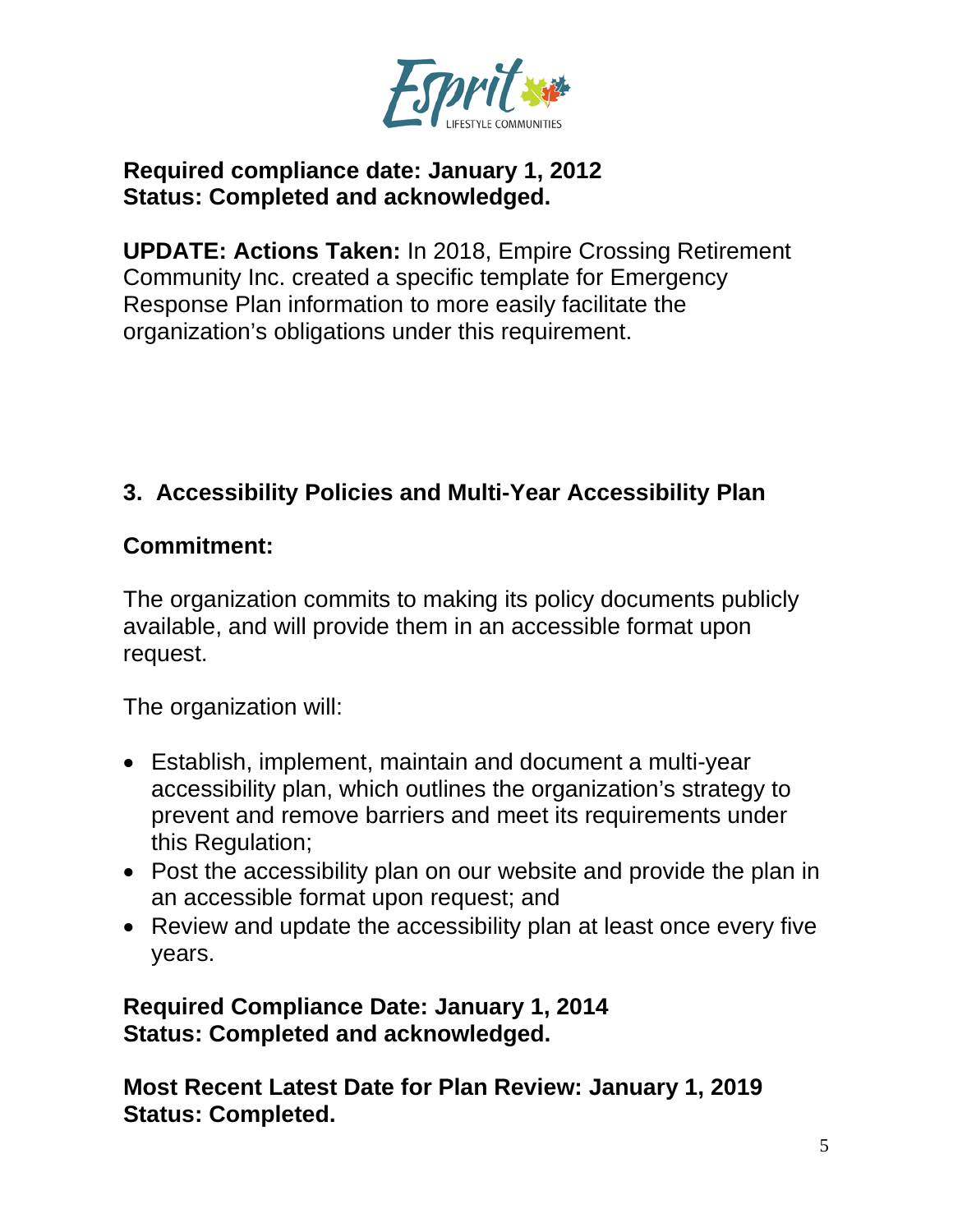

#### **Required compliance date: January 1, 2012 Status: Completed and acknowledged.**

**UPDATE: Actions Taken:** In 2018, Empire Crossing Retirement Community Inc. created a specific template for Emergency Response Plan information to more easily facilitate the organization's obligations under this requirement.

# **3. Accessibility Policies and Multi-Year Accessibility Plan**

### **Commitment:**

The organization commits to making its policy documents publicly available, and will provide them in an accessible format upon request.

The organization will:

- Establish, implement, maintain and document a multi-year accessibility plan, which outlines the organization's strategy to prevent and remove barriers and meet its requirements under this Regulation;
- Post the accessibility plan on our website and provide the plan in an accessible format upon request; and
- Review and update the accessibility plan at least once every five years.

**Required Compliance Date: January 1, 2014 Status: Completed and acknowledged.**

**Most Recent Latest Date for Plan Review: January 1, 2019 Status: Completed.**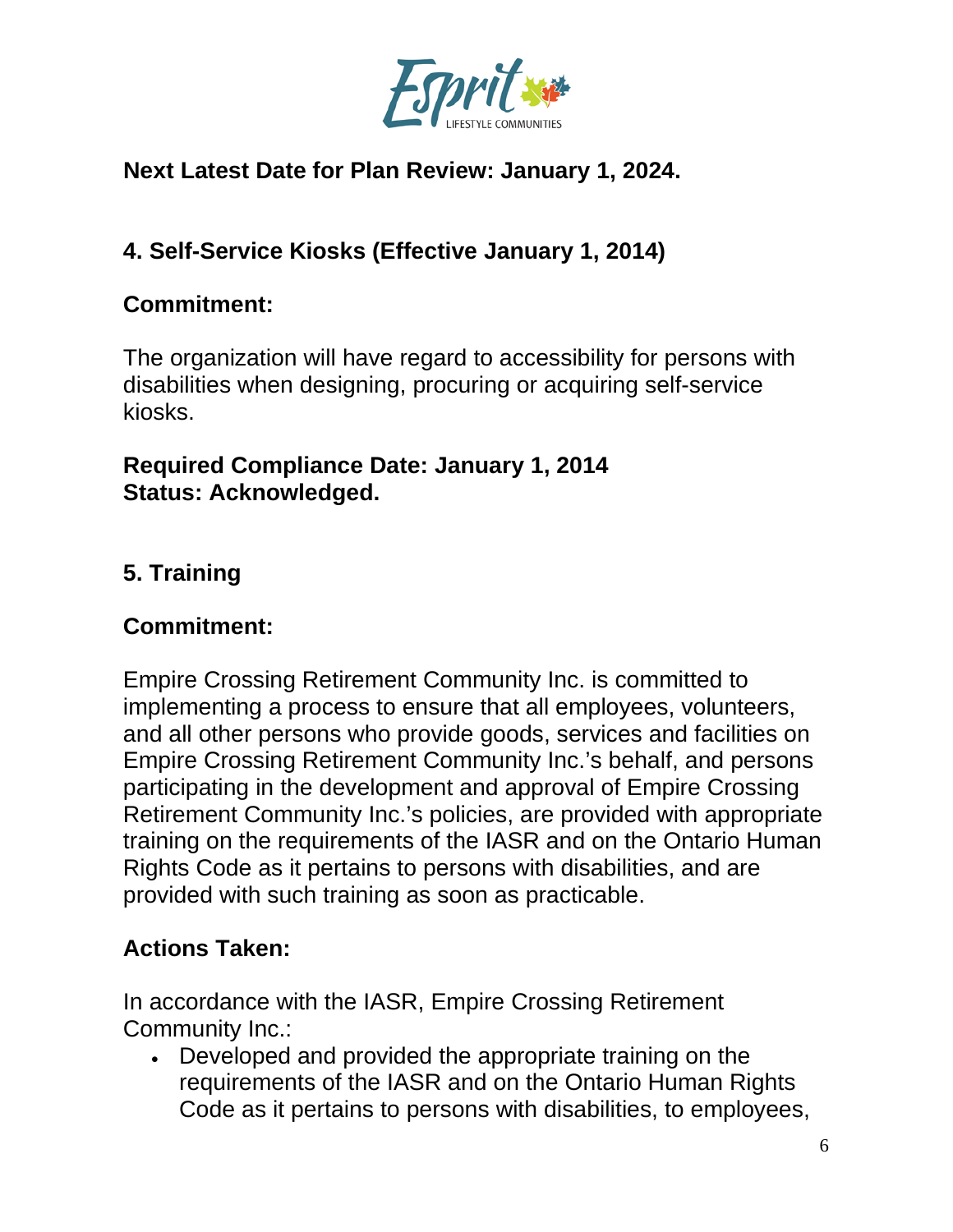

# **Next Latest Date for Plan Review: January 1, 2024.**

# **4. Self-Service Kiosks (Effective January 1, 2014)**

### **Commitment:**

The organization will have regard to accessibility for persons with disabilities when designing, procuring or acquiring self-service kiosks.

#### **Required Compliance Date: January 1, 2014 Status: Acknowledged.**

# **5. Training**

## **Commitment:**

Empire Crossing Retirement Community Inc. is committed to implementing a process to ensure that all employees, volunteers, and all other persons who provide goods, services and facilities on Empire Crossing Retirement Community Inc.'s behalf, and persons participating in the development and approval of Empire Crossing Retirement Community Inc.'s policies, are provided with appropriate training on the requirements of the IASR and on the Ontario Human Rights Code as it pertains to persons with disabilities, and are provided with such training as soon as practicable.

# **Actions Taken:**

In accordance with the IASR, Empire Crossing Retirement Community Inc.:

• Developed and provided the appropriate training on the requirements of the IASR and on the Ontario Human Rights Code as it pertains to persons with disabilities, to employees,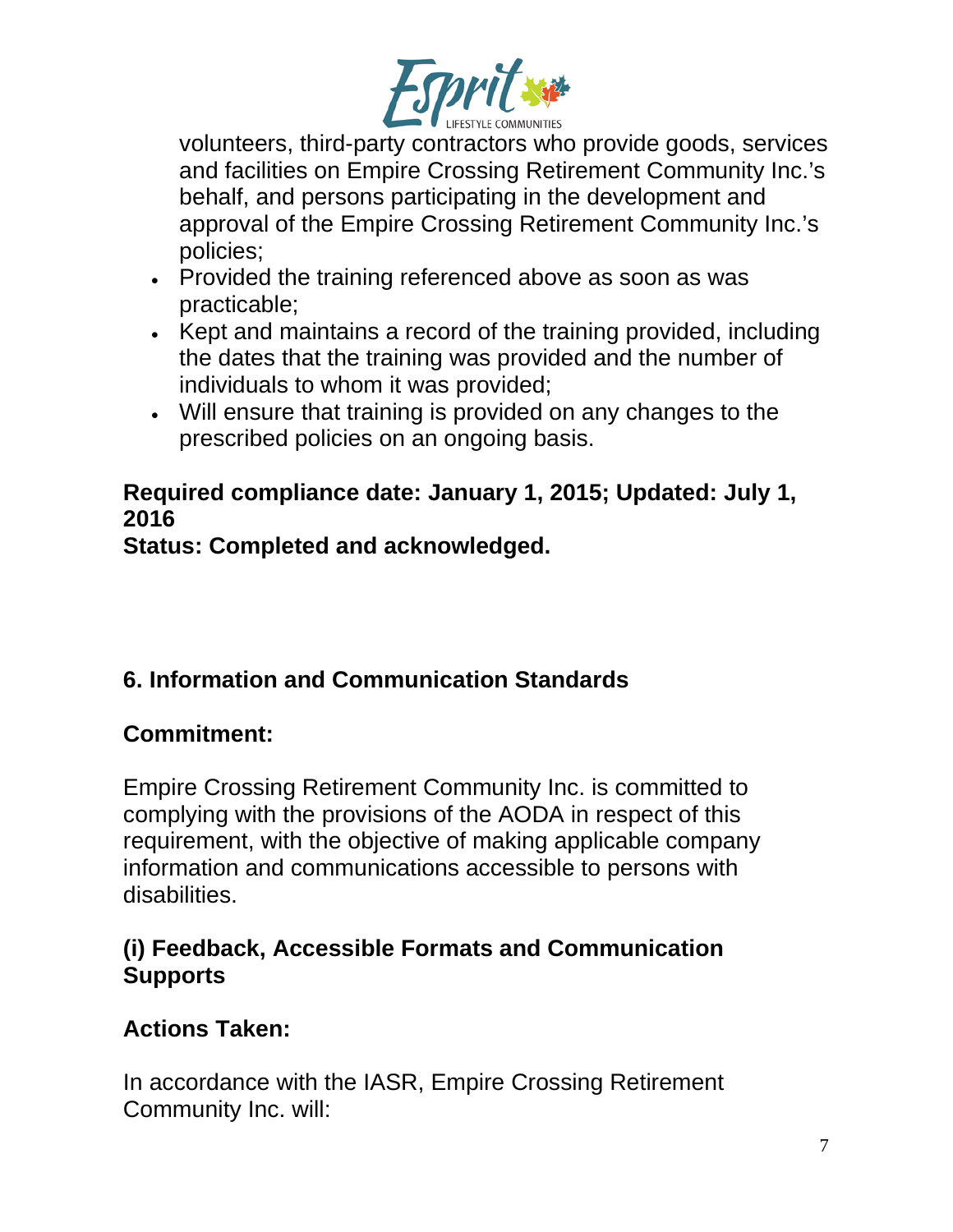

volunteers, third-party contractors who provide goods, services and facilities on Empire Crossing Retirement Community Inc.'s behalf, and persons participating in the development and approval of the Empire Crossing Retirement Community Inc.'s policies;

- Provided the training referenced above as soon as was practicable;
- Kept and maintains a record of the training provided, including the dates that the training was provided and the number of individuals to whom it was provided;
- Will ensure that training is provided on any changes to the prescribed policies on an ongoing basis.

# **Required compliance date: January 1, 2015; Updated: July 1, 2016**

**Status: Completed and acknowledged.**

# **6. Information and Communication Standards**

# **Commitment:**

Empire Crossing Retirement Community Inc. is committed to complying with the provisions of the AODA in respect of this requirement, with the objective of making applicable company information and communications accessible to persons with disabilities.

# **(i) Feedback, Accessible Formats and Communication Supports**

# **Actions Taken:**

In accordance with the IASR, Empire Crossing Retirement Community Inc. will: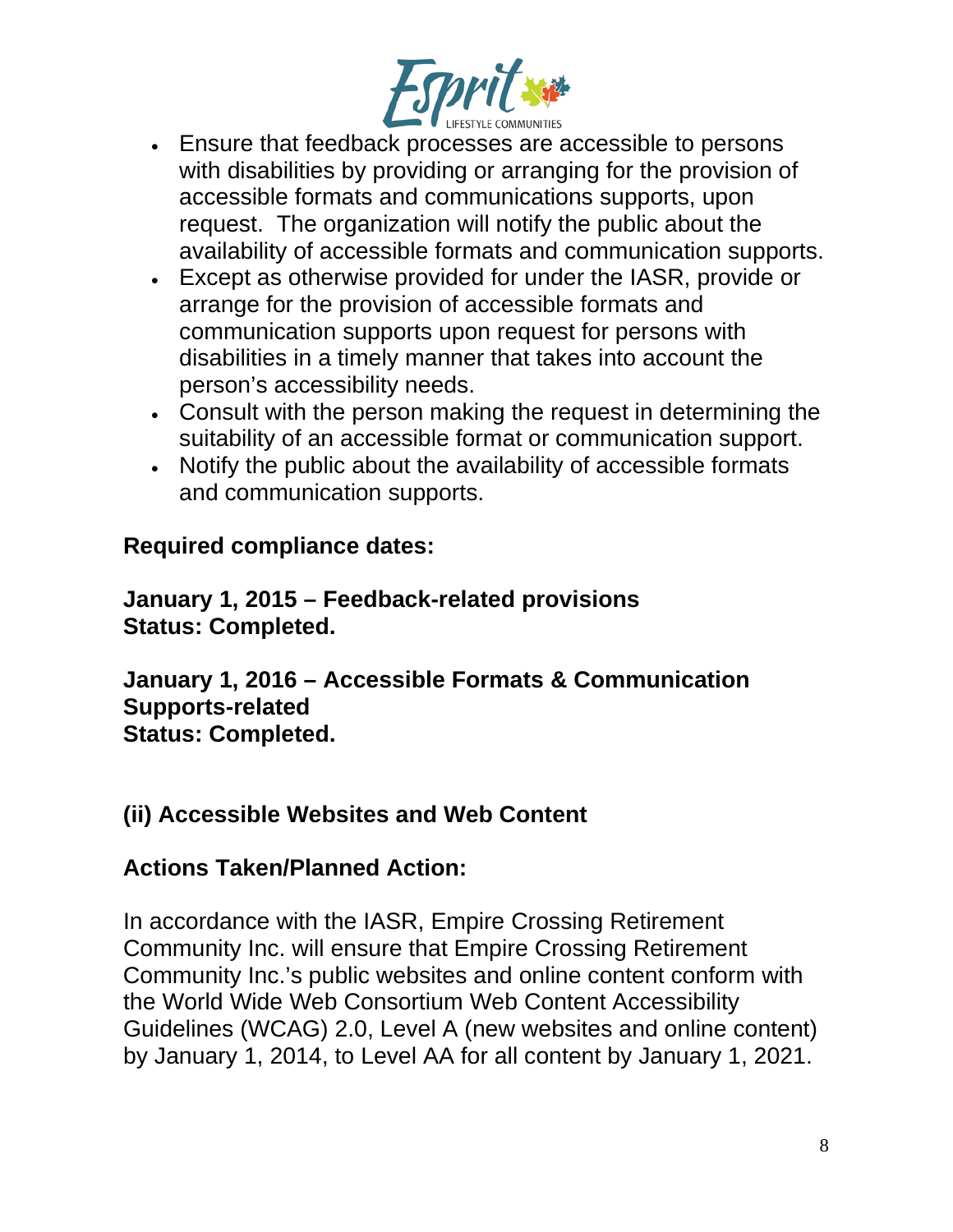

- Ensure that feedback processes are accessible to persons with disabilities by providing or arranging for the provision of accessible formats and communications supports, upon request. The organization will notify the public about the availability of accessible formats and communication supports.
- Except as otherwise provided for under the IASR, provide or arrange for the provision of accessible formats and communication supports upon request for persons with disabilities in a timely manner that takes into account the person's accessibility needs.
- Consult with the person making the request in determining the suitability of an accessible format or communication support.
- Notify the public about the availability of accessible formats and communication supports.

#### **Required compliance dates:**

**January 1, 2015 – Feedback-related provisions Status: Completed.**

**January 1, 2016 – Accessible Formats & Communication Supports-related Status: Completed.**

#### **(ii) Accessible Websites and Web Content**

#### **Actions Taken/Planned Action:**

In accordance with the IASR, Empire Crossing Retirement Community Inc. will ensure that Empire Crossing Retirement Community Inc.'s public websites and online content conform with the World Wide Web Consortium Web Content Accessibility Guidelines (WCAG) 2.0, Level A (new websites and online content) by January 1, 2014, to Level AA for all content by January 1, 2021.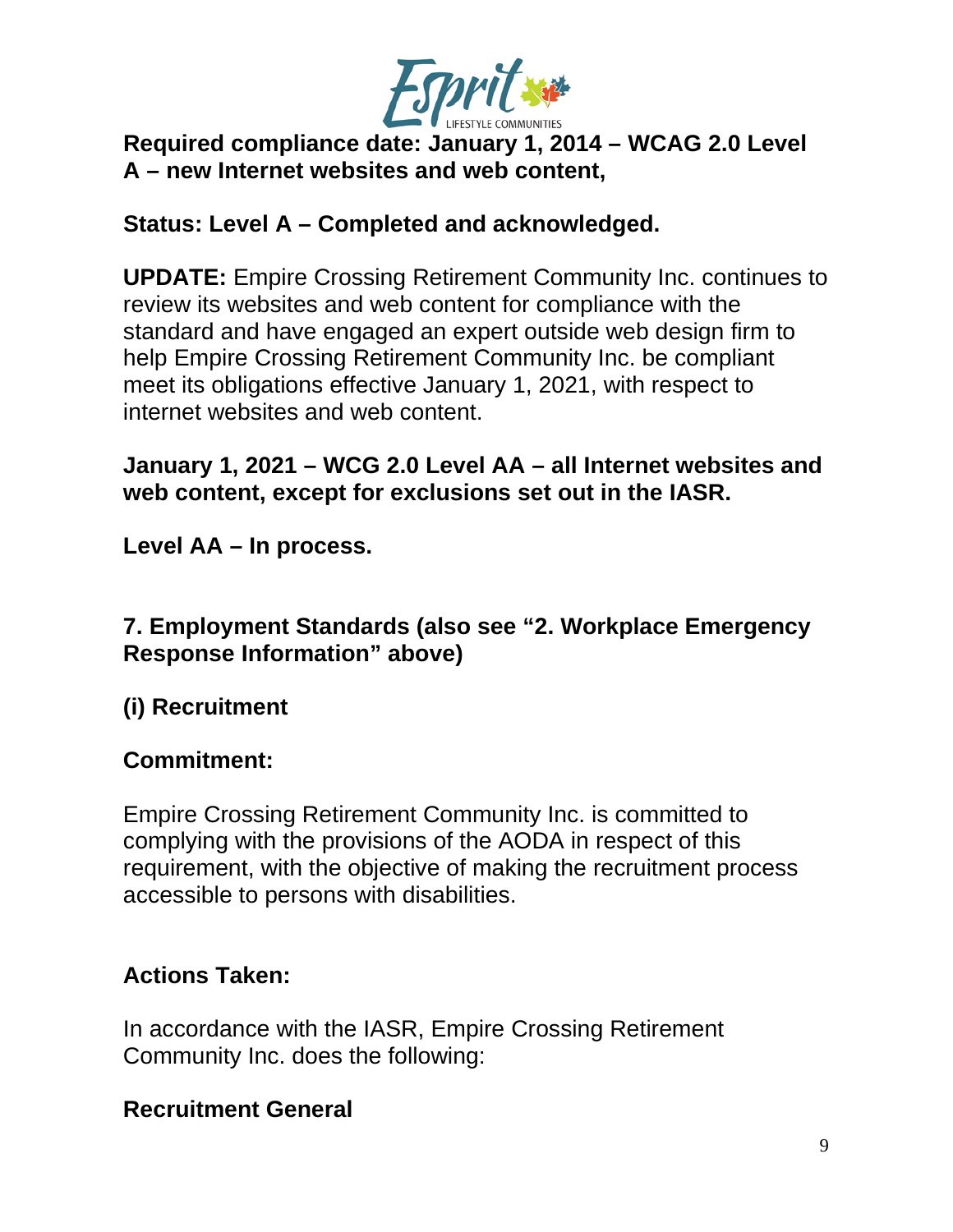

### **Required compliance date: January 1, 2014 – WCAG 2.0 Level A – new Internet websites and web content,**

### **Status: Level A – Completed and acknowledged.**

**UPDATE:** Empire Crossing Retirement Community Inc. continues to review its websites and web content for compliance with the standard and have engaged an expert outside web design firm to help Empire Crossing Retirement Community Inc. be compliant meet its obligations effective January 1, 2021, with respect to internet websites and web content.

### **January 1, 2021 – WCG 2.0 Level AA – all Internet websites and web content, except for exclusions set out in the IASR.**

**Level AA – In process.**

### **7. Employment Standards (also see "2. Workplace Emergency Response Information" above)**

# **(i) Recruitment**

#### **Commitment:**

Empire Crossing Retirement Community Inc. is committed to complying with the provisions of the AODA in respect of this requirement, with the objective of making the recruitment process accessible to persons with disabilities.

## **Actions Taken:**

In accordance with the IASR, Empire Crossing Retirement Community Inc. does the following:

## **Recruitment General**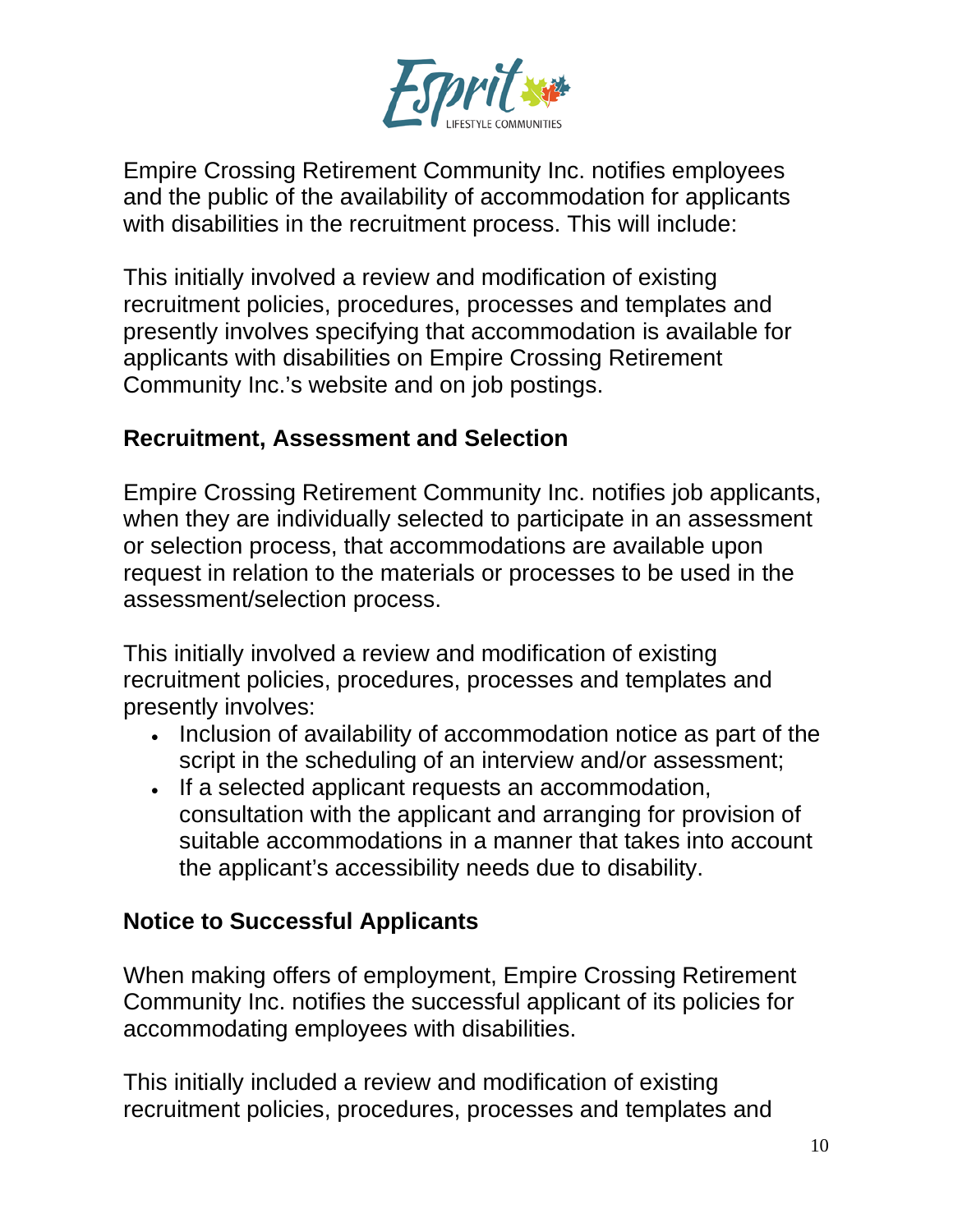

Empire Crossing Retirement Community Inc. notifies employees and the public of the availability of accommodation for applicants with disabilities in the recruitment process. This will include:

This initially involved a review and modification of existing recruitment policies, procedures, processes and templates and presently involves specifying that accommodation is available for applicants with disabilities on Empire Crossing Retirement Community Inc.'s website and on job postings.

#### **Recruitment, Assessment and Selection**

Empire Crossing Retirement Community Inc. notifies job applicants, when they are individually selected to participate in an assessment or selection process, that accommodations are available upon request in relation to the materials or processes to be used in the assessment/selection process.

This initially involved a review and modification of existing recruitment policies, procedures, processes and templates and presently involves:

- Inclusion of availability of accommodation notice as part of the script in the scheduling of an interview and/or assessment;
- If a selected applicant requests an accommodation, consultation with the applicant and arranging for provision of suitable accommodations in a manner that takes into account the applicant's accessibility needs due to disability.

#### **Notice to Successful Applicants**

When making offers of employment, Empire Crossing Retirement Community Inc. notifies the successful applicant of its policies for accommodating employees with disabilities.

This initially included a review and modification of existing recruitment policies, procedures, processes and templates and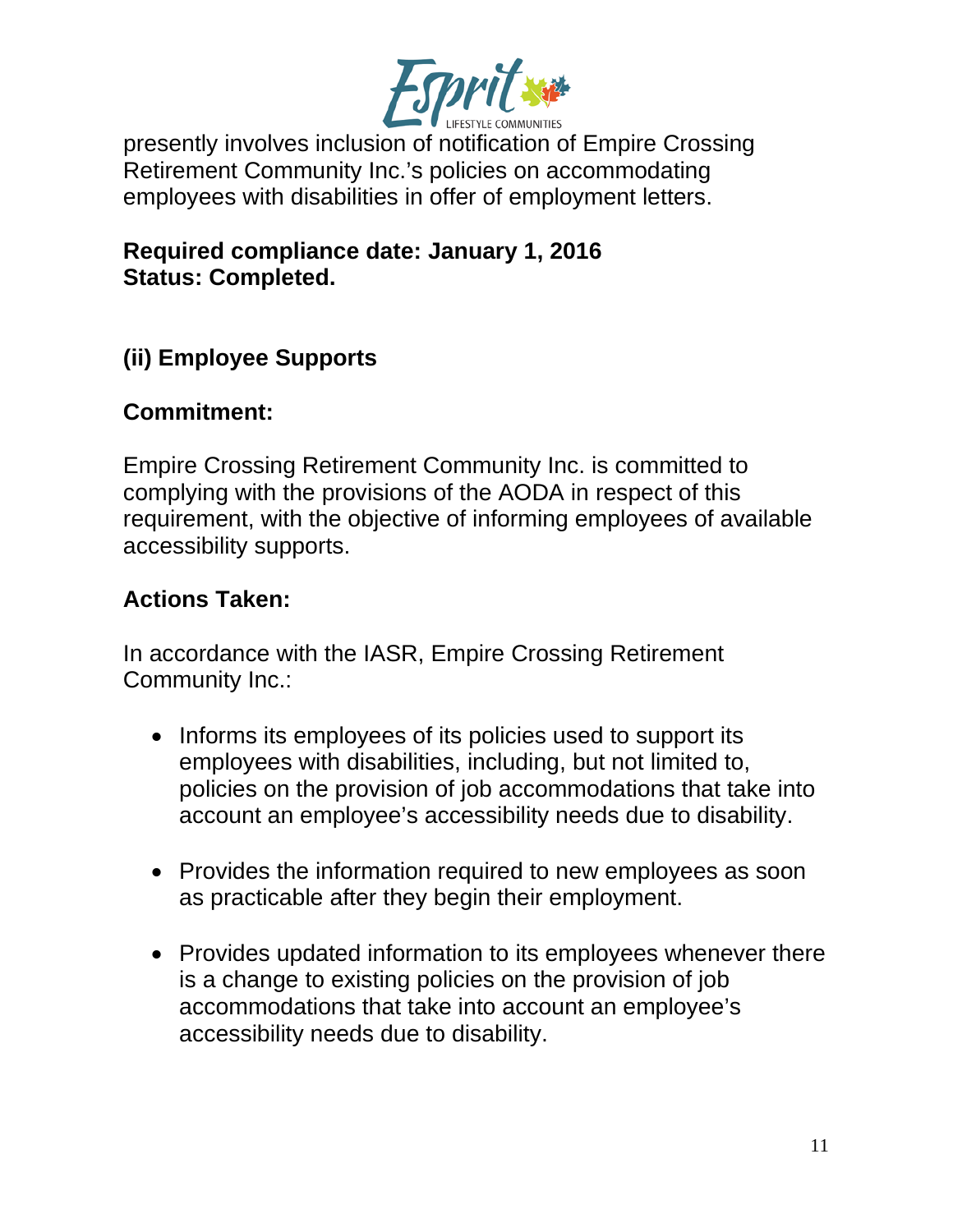

presently involves inclusion of notification of Empire Crossing Retirement Community Inc.'s policies on accommodating employees with disabilities in offer of employment letters.

**Required compliance date: January 1, 2016 Status: Completed.**

# **(ii) Employee Supports**

#### **Commitment:**

Empire Crossing Retirement Community Inc. is committed to complying with the provisions of the AODA in respect of this requirement, with the objective of informing employees of available accessibility supports.

#### **Actions Taken:**

In accordance with the IASR, Empire Crossing Retirement Community Inc.:

- Informs its employees of its policies used to support its employees with disabilities, including, but not limited to, policies on the provision of job accommodations that take into account an employee's accessibility needs due to disability.
- Provides the information required to new employees as soon as practicable after they begin their employment.
- Provides updated information to its employees whenever there is a change to existing policies on the provision of job accommodations that take into account an employee's accessibility needs due to disability.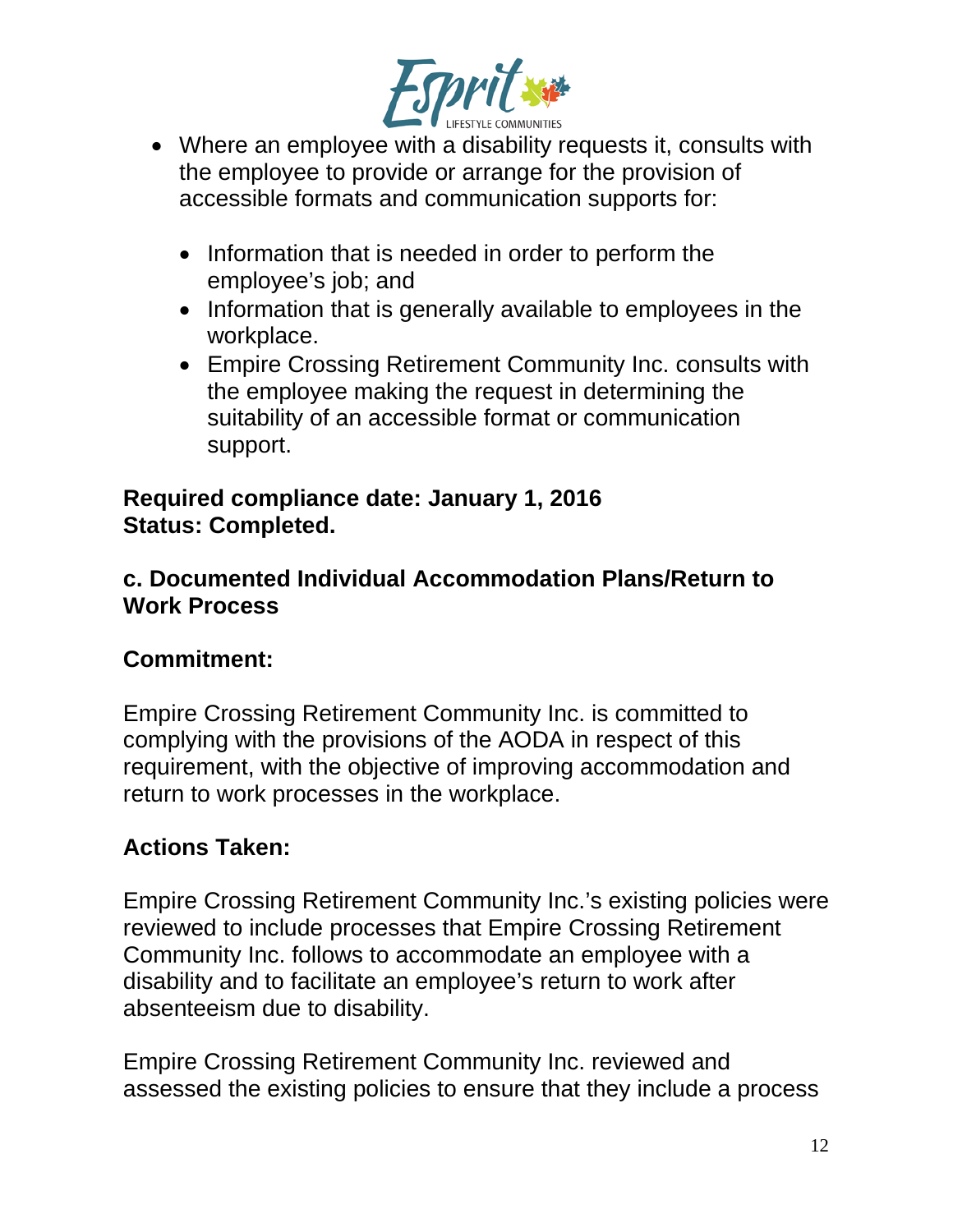

- Where an employee with a disability requests it, consults with the employee to provide or arrange for the provision of accessible formats and communication supports for:
	- Information that is needed in order to perform the employee's job; and
	- Information that is generally available to employees in the workplace.
	- Empire Crossing Retirement Community Inc. consults with the employee making the request in determining the suitability of an accessible format or communication support.

#### **Required compliance date: January 1, 2016 Status: Completed.**

### **c. Documented Individual Accommodation Plans/Return to Work Process**

# **Commitment:**

Empire Crossing Retirement Community Inc. is committed to complying with the provisions of the AODA in respect of this requirement, with the objective of improving accommodation and return to work processes in the workplace.

# **Actions Taken:**

Empire Crossing Retirement Community Inc.'s existing policies were reviewed to include processes that Empire Crossing Retirement Community Inc. follows to accommodate an employee with a disability and to facilitate an employee's return to work after absenteeism due to disability.

Empire Crossing Retirement Community Inc. reviewed and assessed the existing policies to ensure that they include a process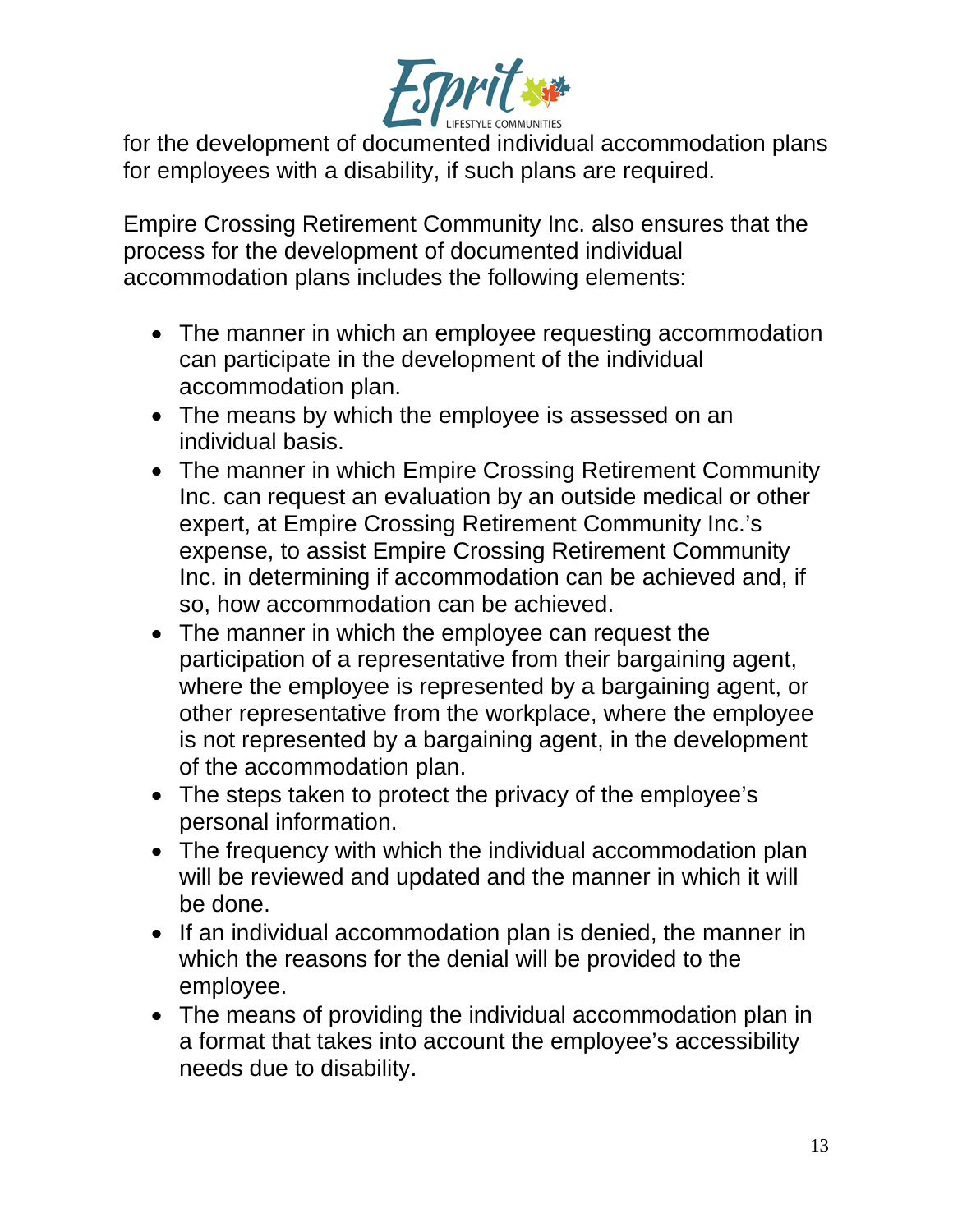

for the development of documented individual accommodation plans for employees with a disability, if such plans are required.

Empire Crossing Retirement Community Inc. also ensures that the process for the development of documented individual accommodation plans includes the following elements:

- The manner in which an employee requesting accommodation can participate in the development of the individual accommodation plan.
- The means by which the employee is assessed on an individual basis.
- The manner in which Empire Crossing Retirement Community Inc. can request an evaluation by an outside medical or other expert, at Empire Crossing Retirement Community Inc.'s expense, to assist Empire Crossing Retirement Community Inc. in determining if accommodation can be achieved and, if so, how accommodation can be achieved.
- The manner in which the employee can request the participation of a representative from their bargaining agent, where the employee is represented by a bargaining agent, or other representative from the workplace, where the employee is not represented by a bargaining agent, in the development of the accommodation plan.
- The steps taken to protect the privacy of the employee's personal information.
- The frequency with which the individual accommodation plan will be reviewed and updated and the manner in which it will be done.
- If an individual accommodation plan is denied, the manner in which the reasons for the denial will be provided to the employee.
- The means of providing the individual accommodation plan in a format that takes into account the employee's accessibility needs due to disability.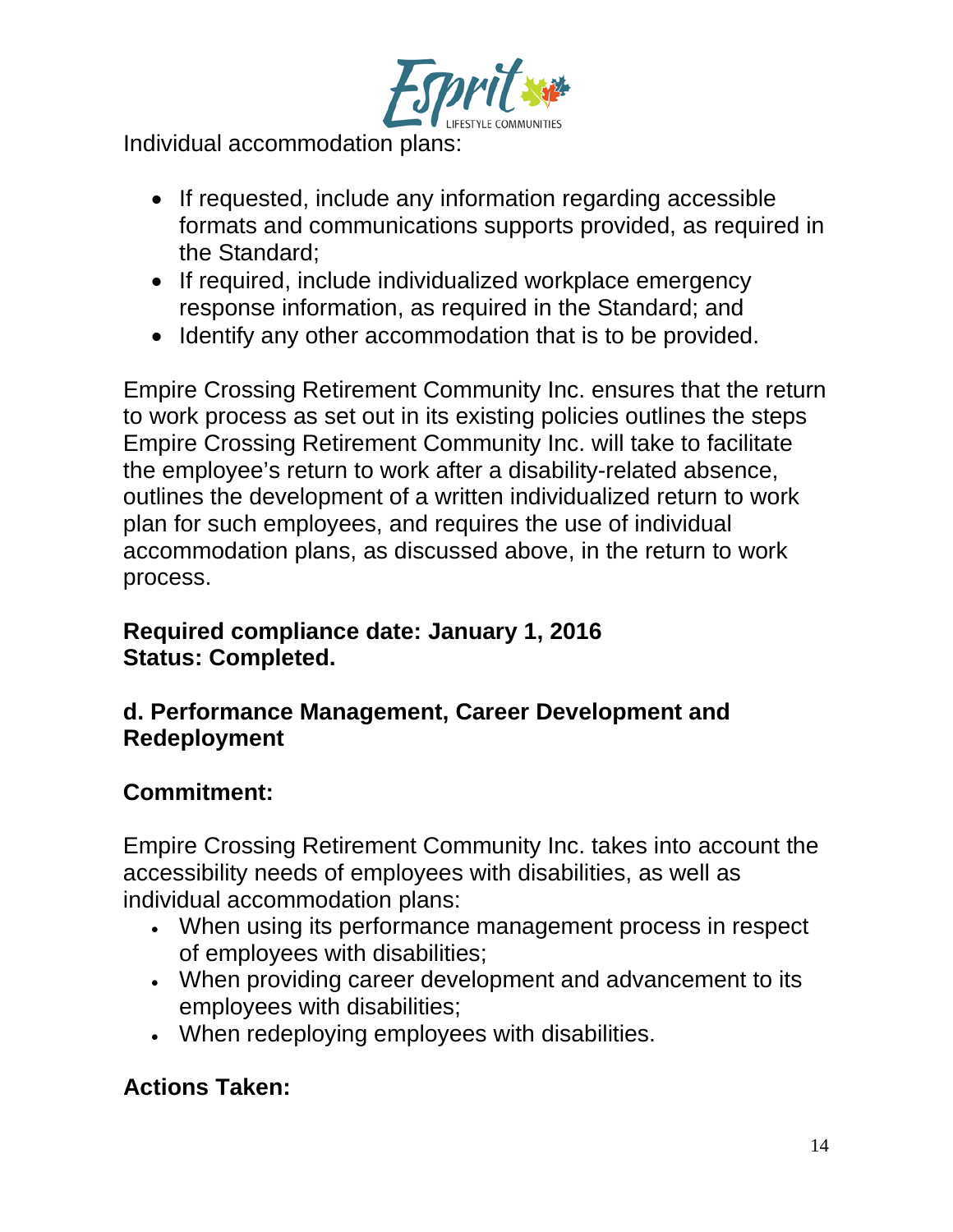

Individual accommodation plans:

- If requested, include any information regarding accessible formats and communications supports provided, as required in the Standard;
- If required, include individualized workplace emergency response information, as required in the Standard; and
- Identify any other accommodation that is to be provided.

Empire Crossing Retirement Community Inc. ensures that the return to work process as set out in its existing policies outlines the steps Empire Crossing Retirement Community Inc. will take to facilitate the employee's return to work after a disability-related absence, outlines the development of a written individualized return to work plan for such employees, and requires the use of individual accommodation plans, as discussed above, in the return to work process.

#### **Required compliance date: January 1, 2016 Status: Completed.**

#### **d. Performance Management, Career Development and Redeployment**

## **Commitment:**

Empire Crossing Retirement Community Inc. takes into account the accessibility needs of employees with disabilities, as well as individual accommodation plans:

- When using its performance management process in respect of employees with disabilities;
- When providing career development and advancement to its employees with disabilities;
- When redeploying employees with disabilities.

# **Actions Taken:**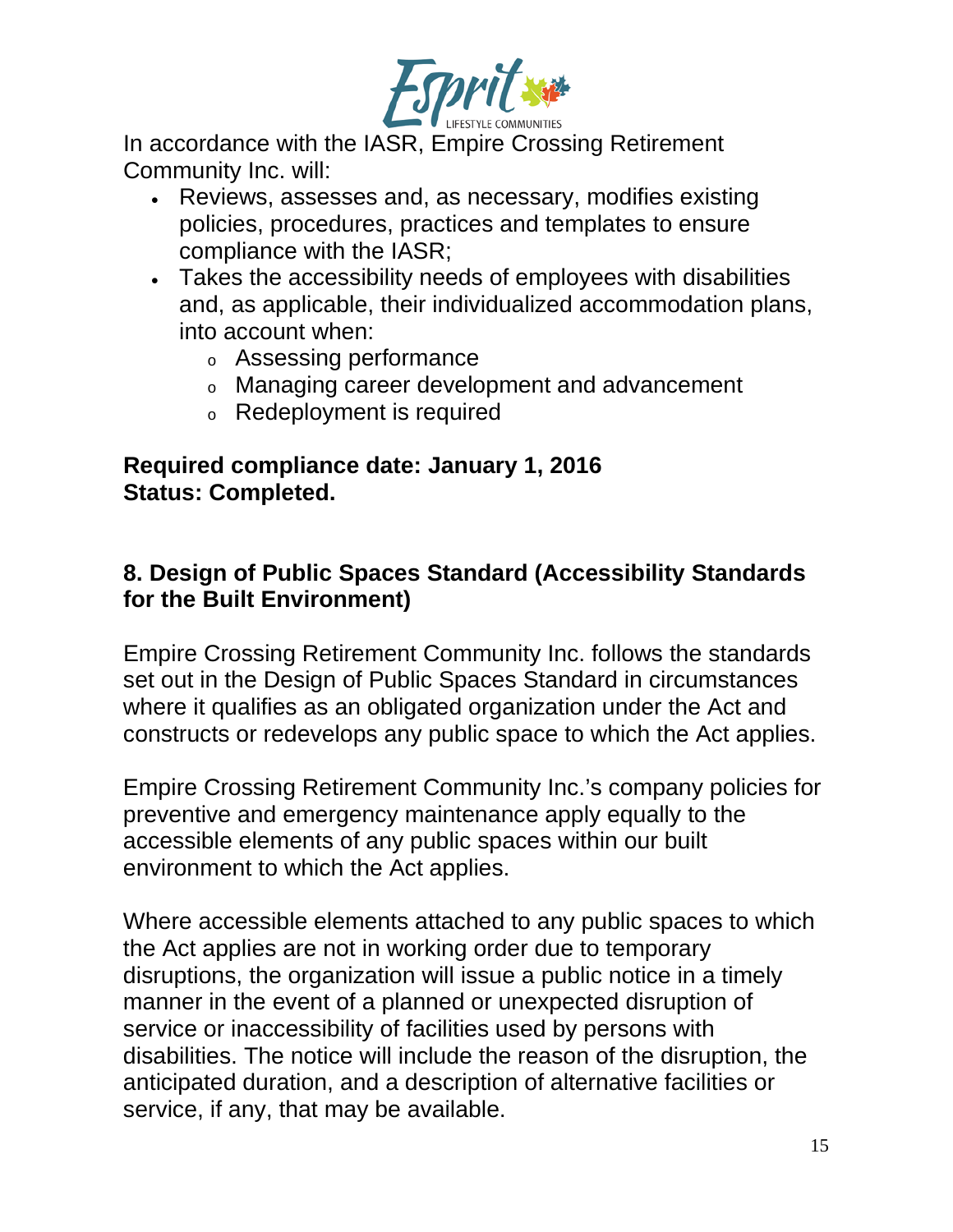

In accordance with the IASR, Empire Crossing Retirement Community Inc. will:

- Reviews, assesses and, as necessary, modifies existing policies, procedures, practices and templates to ensure compliance with the IASR;
- Takes the accessibility needs of employees with disabilities and, as applicable, their individualized accommodation plans, into account when:
	- <sup>o</sup> Assessing performance
	- <sup>o</sup> Managing career development and advancement
	- <sup>o</sup> Redeployment is required

#### **Required compliance date: January 1, 2016 Status: Completed.**

### **8. Design of Public Spaces Standard (Accessibility Standards for the Built Environment)**

Empire Crossing Retirement Community Inc. follows the standards set out in the Design of Public Spaces Standard in circumstances where it qualifies as an obligated organization under the Act and constructs or redevelops any public space to which the Act applies.

Empire Crossing Retirement Community Inc.'s company policies for preventive and emergency maintenance apply equally to the accessible elements of any public spaces within our built environment to which the Act applies.

Where accessible elements attached to any public spaces to which the Act applies are not in working order due to temporary disruptions, the organization will issue a public notice in a timely manner in the event of a planned or unexpected disruption of service or inaccessibility of facilities used by persons with disabilities. The notice will include the reason of the disruption, the anticipated duration, and a description of alternative facilities or service, if any, that may be available.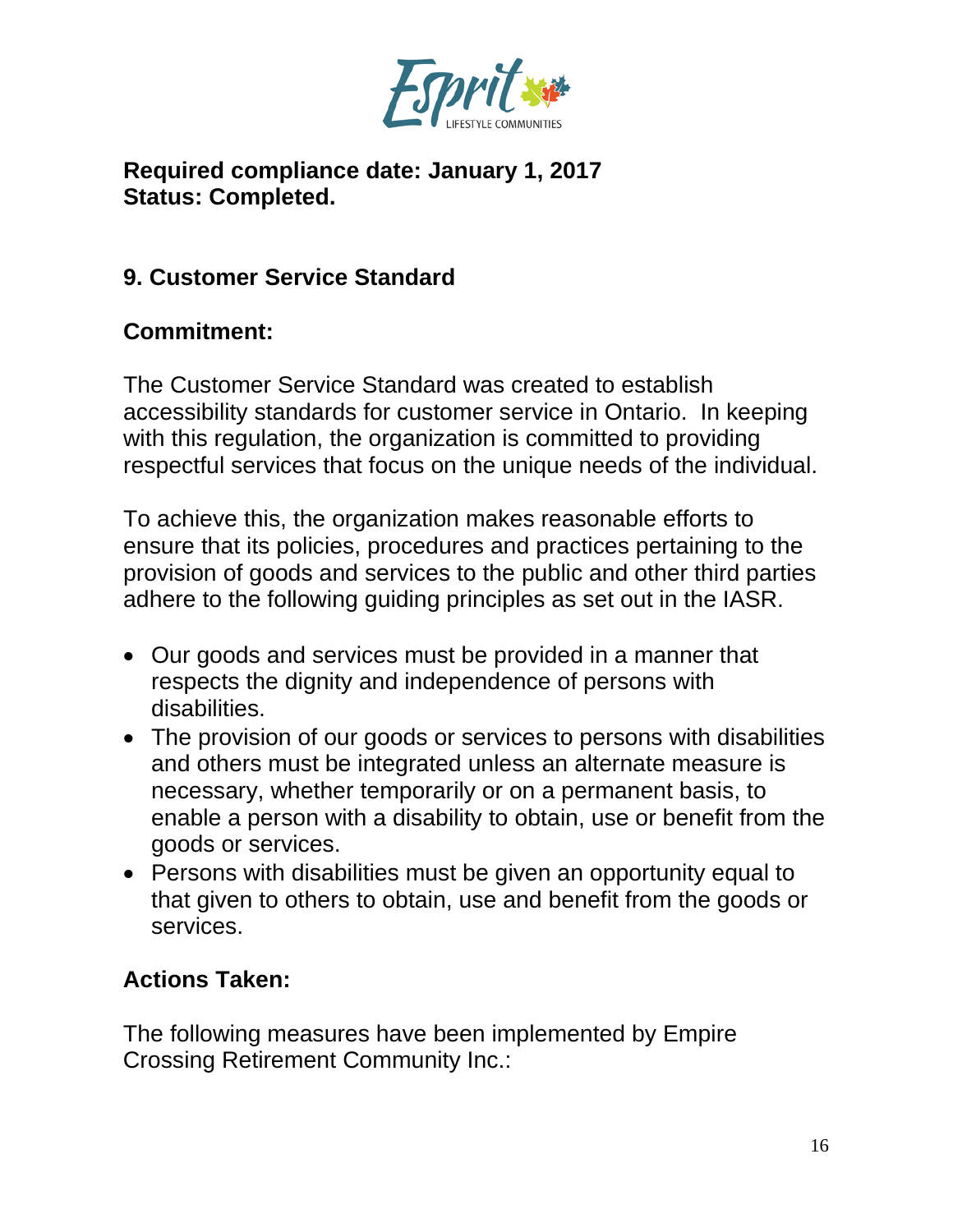

#### **Required compliance date: January 1, 2017 Status: Completed.**

## **9. Customer Service Standard**

# **Commitment:**

The Customer Service Standard was created to establish accessibility standards for customer service in Ontario. In keeping with this regulation, the organization is committed to providing respectful services that focus on the unique needs of the individual.

To achieve this, the organization makes reasonable efforts to ensure that its policies, procedures and practices pertaining to the provision of goods and services to the public and other third parties adhere to the following guiding principles as set out in the IASR.

- Our goods and services must be provided in a manner that respects the dignity and independence of persons with disabilities.
- The provision of our goods or services to persons with disabilities and others must be integrated unless an alternate measure is necessary, whether temporarily or on a permanent basis, to enable a person with a disability to obtain, use or benefit from the goods or services.
- Persons with disabilities must be given an opportunity equal to that given to others to obtain, use and benefit from the goods or services.

## **Actions Taken:**

The following measures have been implemented by Empire Crossing Retirement Community Inc.: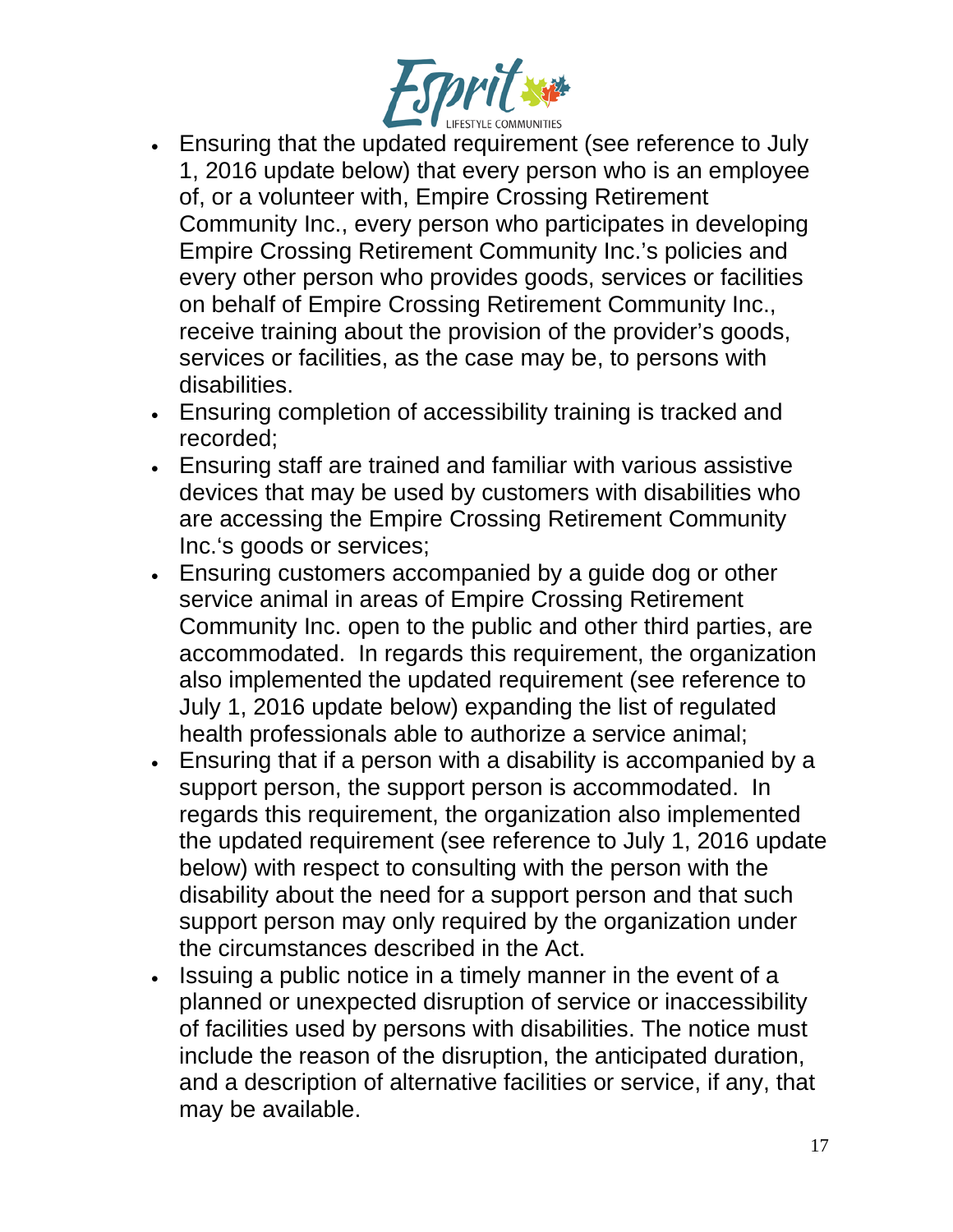

- Ensuring that the updated requirement (see reference to July 1, 2016 update below) that every person who is an employee of, or a volunteer with, Empire Crossing Retirement Community Inc., every person who participates in developing Empire Crossing Retirement Community Inc.'s policies and every other person who provides goods, services or facilities on behalf of Empire Crossing Retirement Community Inc., receive training about the provision of the provider's goods, services or facilities, as the case may be, to persons with disabilities.
- Ensuring completion of accessibility training is tracked and recorded;
- Ensuring staff are trained and familiar with various assistive devices that may be used by customers with disabilities who are accessing the Empire Crossing Retirement Community Inc.'s goods or services;
- Ensuring customers accompanied by a guide dog or other service animal in areas of Empire Crossing Retirement Community Inc. open to the public and other third parties, are accommodated. In regards this requirement, the organization also implemented the updated requirement (see reference to July 1, 2016 update below) expanding the list of regulated health professionals able to authorize a service animal;
- Ensuring that if a person with a disability is accompanied by a support person, the support person is accommodated. In regards this requirement, the organization also implemented the updated requirement (see reference to July 1, 2016 update below) with respect to consulting with the person with the disability about the need for a support person and that such support person may only required by the organization under the circumstances described in the Act.
- Issuing a public notice in a timely manner in the event of a planned or unexpected disruption of service or inaccessibility of facilities used by persons with disabilities. The notice must include the reason of the disruption, the anticipated duration, and a description of alternative facilities or service, if any, that may be available.